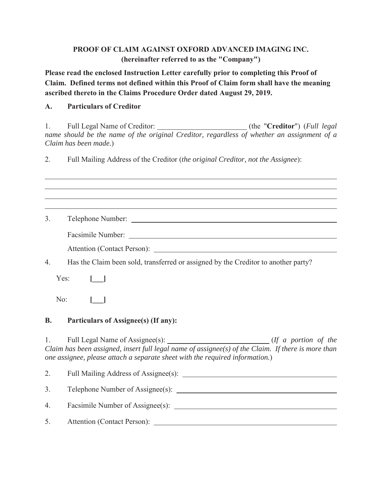## PROOF OF CLAIM AGAINST OXFORD ADVANCED IMAGING INC. (hereinafter referred to as the "Company")

Please read the enclosed Instruction Letter carefully prior to completing this Proof of Claim. Defined terms not defined within this Proof of Claim form shall have the meaning ascribed thereto in the Claims Procedure Order dated August 29, 2019.

#### $\mathbf{A}$ . **Particulars of Creditor**

Full Legal Name of Creditor: \_\_\_\_\_\_\_\_\_\_\_\_\_\_\_\_\_\_\_\_\_\_\_\_\_\_\_\_\_\_(the "Creditor") (Full legal 1. name should be the name of the original Creditor, regardless of whether an assignment of a Claim has been made.)

 $2.$ Full Mailing Address of the Creditor (the original Creditor, not the Assignee):

 $3.$ Attention (Contact Person):

 $\overline{4}$ . Has the Claim been sold, transferred or assigned by the Creditor to another party?

Yes:  $\begin{bmatrix} 1 \end{bmatrix}$ 

 $No:$  $\mathbf{I}$   $\mathbf{I}$ 

#### $\mathbf{B}$ . Particulars of Assignee(s) (If any):

1. Claim has been assigned, insert full legal name of assignee(s) of the Claim. If there is more than one assignee, please attach a separate sheet with the required information.)

| 2. |                                      |
|----|--------------------------------------|
| 3. | Telephone Number of Assignee $(s)$ : |
| 4. | Facsimile Number of Assignee(s):     |
| 5. | Attention (Contact Person): ____     |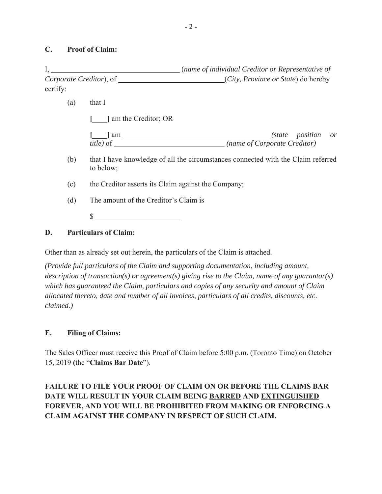### **C.** Proof of Claim:

, *name of individual Creditor or Representative of Corporate Creditor*), of  $(City, Province \ or \ State)$  do hereby certify:

 $(a)$  that I

**Fig. 1** am the Creditor; OR

| 1 am              |                              | (state position or |  |
|-------------------|------------------------------|--------------------|--|
| <i>title</i> ) of | (name of Corporate Creditor) |                    |  |

- (b) that I have knowledge of all the circumstances connected with the Claim referred to below;
- (c) the Creditor asserts its Claim against the Company;
- $(d)$  The amount of the Creditor's Claim is
	- $\sim$

## **D.** Particulars of Claim:

Other than as already set out herein, the particulars of the Claim is attached.

*(Provide full particulars of the Claim and supporting documentation, including amount, description of transaction(s) or agreement(s) giving rise to the Claim, name of any guarantor(s) which has guaranteed the Claim, particulars and copies of any security and amount of Claim allocated thereto, date and number of all invoices, particulars of all credits, discounts, etc. claimed.)*

### **E.** Filing of Claims:

The Sales Officer must receive this Proof of Claim before 5:00 p.m. (Toronto Time) on October 15, 2019 (the "Claims Bar Date").

# **FAILURE TO FILE YOUR PROOF OF CLAIM ON OR BEFORE THE CLAIMS BAR** DATE WILL RESULT IN YOUR CLAIM BEING BARRED AND EXTINGUISHED **FOREVER, AND YOU WILL BE PROHIBITED FROM MAKING OR ENFORCING A** CLAIM AGAINST THE COMPANY IN RESPECT OF SUCH CLAIM.